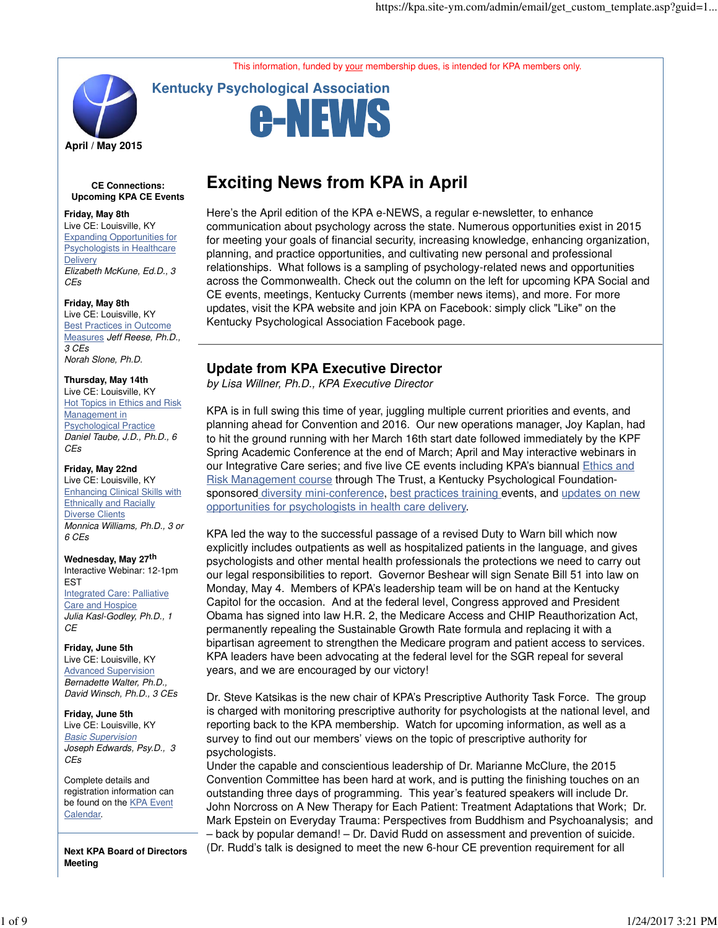This information, funded by your membership dues, is intended for KPA members only.



**Kentucky Psychological Association**



### **CE Connections: Upcoming KPA CE Events**

### **Friday, May 8th**

Live CE: Louisville, KY Expanding Opportunities for Psychologists in Healthcare **Delivery** Elizabeth McKune, Ed.D., 3 CEs

### **Friday, May 8th**

Live CE: Louisville, KY Best Practices in Outcome Measures Jeff Reese, Ph.D., 3 CEs Norah Slone, Ph.D.

# **Thursday, May 14th**

Live CE: Louisville, KY **Hot Topics in Ethics and Risk** Management in Psychological Practice Daniel Taube, J.D., Ph.D., 6 CEs

### **Friday, May 22nd**

Live CE: Louisville, KY Enhancing Clinical Skills with **Ethnically and Racially** Diverse Clients Monnica Williams, Ph.D., 3 or 6 CEs

#### **Wednesday, May 27th** Interactive Webinar: 12-1pm EST Integrated Care: Palliative Care and Hospice Julia Kasl-Godley, Ph.D., 1 **CE**

**Friday, June 5th** Live CE: Louisville, KY Advanced Supervision Bernadette Walter, Ph.D., David Winsch, Ph.D., 3 CEs

**Friday, June 5th** Live CE: Louisville, KY Basic Supervision Joseph Edwards, Psy.D., 3 CEs

Complete details and registration information can be found on the **KPA** Event Calendar.

**Next KPA Board of Directors Meeting**

# **Exciting News from KPA in April**

Here's the April edition of the KPA e-NEWS, a regular e-newsletter, to enhance communication about psychology across the state. Numerous opportunities exist in 2015 for meeting your goals of financial security, increasing knowledge, enhancing organization, planning, and practice opportunities, and cultivating new personal and professional relationships. What follows is a sampling of psychology-related news and opportunities across the Commonwealth. Check out the column on the left for upcoming KPA Social and CE events, meetings, Kentucky Currents (member news items), and more. For more updates, visit the KPA website and join KPA on Facebook: simply click "Like" on the Kentucky Psychological Association Facebook page.

## **Update from KPA Executive Director**

by Lisa Willner, Ph.D., KPA Executive Director

KPA is in full swing this time of year, juggling multiple current priorities and events, and planning ahead for Convention and 2016. Our new operations manager, Joy Kaplan, had to hit the ground running with her March 16th start date followed immediately by the KPF Spring Academic Conference at the end of March; April and May interactive webinars in our Integrative Care series; and five live CE events including KPA's biannual Ethics and Risk Management course through The Trust, a Kentucky Psychological Foundationsponsored diversity mini-conference, best practices training events, and updates on new opportunities for psychologists in health care delivery.

KPA led the way to the successful passage of a revised Duty to Warn bill which now explicitly includes outpatients as well as hospitalized patients in the language, and gives psychologists and other mental health professionals the protections we need to carry out our legal responsibilities to report. Governor Beshear will sign Senate Bill 51 into law on Monday, May 4. Members of KPA's leadership team will be on hand at the Kentucky Capitol for the occasion. And at the federal level, Congress approved and President Obama has signed into law H.R. 2, the Medicare Access and CHIP Reauthorization Act, permanently repealing the Sustainable Growth Rate formula and replacing it with a bipartisan agreement to strengthen the Medicare program and patient access to services. KPA leaders have been advocating at the federal level for the SGR repeal for several years, and we are encouraged by our victory!

Dr. Steve Katsikas is the new chair of KPA's Prescriptive Authority Task Force. The group is charged with monitoring prescriptive authority for psychologists at the national level, and reporting back to the KPA membership. Watch for upcoming information, as well as a survey to find out our members' views on the topic of prescriptive authority for psychologists.

Under the capable and conscientious leadership of Dr. Marianne McClure, the 2015 Convention Committee has been hard at work, and is putting the finishing touches on an outstanding three days of programming. This year's featured speakers will include Dr. John Norcross on A New Therapy for Each Patient: Treatment Adaptations that Work; Dr. Mark Epstein on Everyday Trauma: Perspectives from Buddhism and Psychoanalysis; and – back by popular demand! – Dr. David Rudd on assessment and prevention of suicide. (Dr. Rudd's talk is designed to meet the new 6-hour CE prevention requirement for all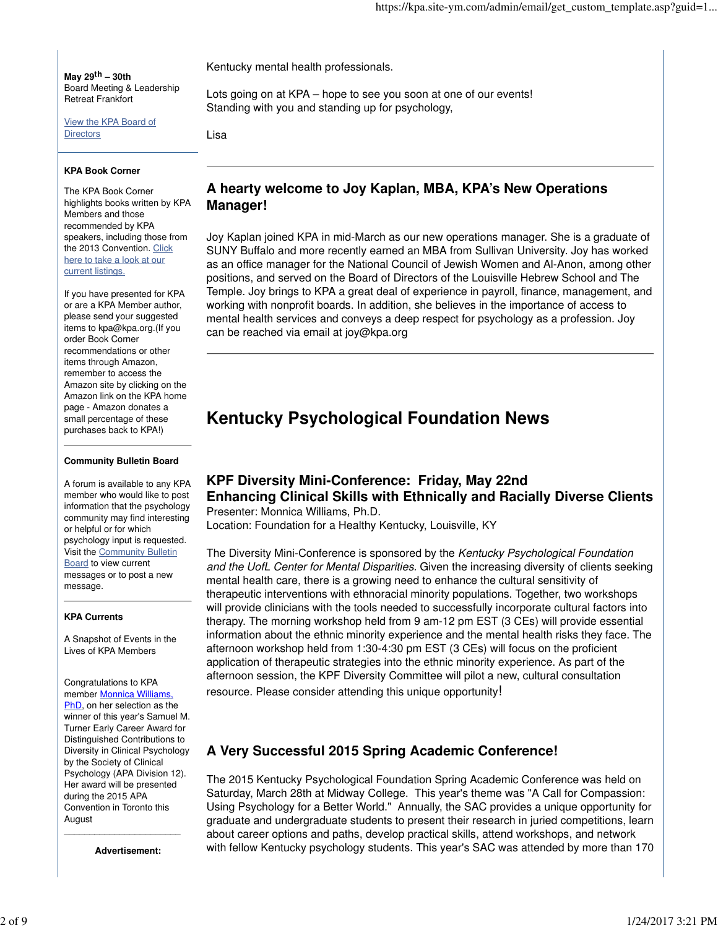**May 29th – 30th** Board Meeting & Leadership Retreat Frankfort

View the KPA Board of **Directors** 

### **KPA Book Corner**

The KPA Book Corner highlights books written by KPA Members and those recommended by KPA speakers, including those from the 2013 Convention. Click here to take a look at our current listings.

If you have presented for KPA or are a KPA Member author, please send your suggested items to kpa@kpa.org.(If you order Book Corner recommendations or other items through Amazon, remember to access the Amazon site by clicking on the Amazon link on the KPA home page - Amazon donates a small percentage of these purchases back to KPA!)

#### **Community Bulletin Board**

A forum is available to any KPA member who would like to post information that the psychology community may find interesting or helpful or for which psychology input is requested. Visit the Community Bulletin Board to view current messages or to post a new message.

### **KPA Currents**

A Snapshot of Events in the Lives of KPA Members

Congratulations to KPA member Monnica Williams, PhD, on her selection as the winner of this year's Samuel M. Turner Early Career Award for Distinguished Contributions to Diversity in Clinical Psychology by the Society of Clinical Psychology (APA Division 12). Her award will be presented during the 2015 APA Convention in Toronto this August

\_\_\_\_\_\_\_\_\_\_\_\_\_\_\_\_\_\_\_\_\_\_\_ **Advertisement:**

Kentucky mental health professionals.

Lots going on at KPA – hope to see you soon at one of our events! Standing with you and standing up for psychology,

Lisa

## **A hearty welcome to Joy Kaplan, MBA, KPA's New Operations Manager!**

Joy Kaplan joined KPA in mid-March as our new operations manager. She is a graduate of SUNY Buffalo and more recently earned an MBA from Sullivan University. Joy has worked as an office manager for the National Council of Jewish Women and Al-Anon, among other positions, and served on the Board of Directors of the Louisville Hebrew School and The Temple. Joy brings to KPA a great deal of experience in payroll, finance, management, and working with nonprofit boards. In addition, she believes in the importance of access to mental health services and conveys a deep respect for psychology as a profession. Joy can be reached via email at joy@kpa.org

# **Kentucky Psychological Foundation News**

### **KPF Diversity Mini-Conference: Friday, May 22nd Enhancing Clinical Skills with Ethnically and Racially Diverse Clients** Presenter: Monnica Williams, Ph.D.

Location: Foundation for a Healthy Kentucky, Louisville, KY

The Diversity Mini-Conference is sponsored by the Kentucky Psychological Foundation and the UofL Center for Mental Disparities. Given the increasing diversity of clients seeking mental health care, there is a growing need to enhance the cultural sensitivity of therapeutic interventions with ethnoracial minority populations. Together, two workshops will provide clinicians with the tools needed to successfully incorporate cultural factors into therapy. The morning workshop held from 9 am-12 pm EST (3 CEs) will provide essential information about the ethnic minority experience and the mental health risks they face. The afternoon workshop held from 1:30-4:30 pm EST (3 CEs) will focus on the proficient application of therapeutic strategies into the ethnic minority experience. As part of the afternoon session, the KPF Diversity Committee will pilot a new, cultural consultation

resource. Please consider attending this unique opportunity!

# **A Very Successful 2015 Spring Academic Conference!**

The 2015 Kentucky Psychological Foundation Spring Academic Conference was held on Saturday, March 28th at Midway College. This year's theme was "A Call for Compassion: Using Psychology for a Better World." Annually, the SAC provides a unique opportunity for graduate and undergraduate students to present their research in juried competitions, learn about career options and paths, develop practical skills, attend workshops, and network with fellow Kentucky psychology students. This year's SAC was attended by more than 170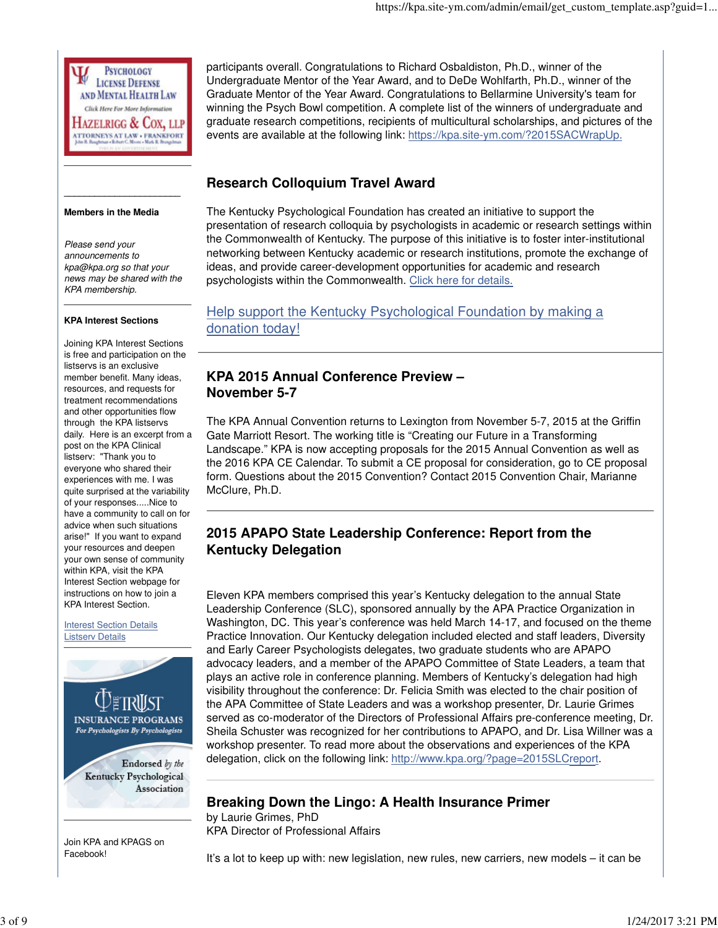

#### **Members in the Media**

**\_\_\_\_\_\_\_\_\_\_\_\_\_\_\_\_\_\_\_\_\_\_\_**

Please send your announcements to kpa@kpa.org so that your news may be shared with the KPA membership.

### **KPA Interest Sections**

Joining KPA Interest Sections is free and participation on the listservs is an exclusive member benefit. Many ideas, resources, and requests for treatment recommendations and other opportunities flow through the KPA listservs daily. Here is an excerpt from a post on the KPA Clinical listserv: "Thank you to everyone who shared their experiences with me. I was quite surprised at the variability of your responses.....Nice to have a community to call on for advice when such situations arise!" If you want to expand your resources and deepen your own sense of community within KPA, visit the KPA Interest Section webpage for instructions on how to join a KPA Interest Section.

Interest Section Details Listserv Details



Join KPA and KPAGS on Facebook!

participants overall. Congratulations to Richard Osbaldiston, Ph.D., winner of the Undergraduate Mentor of the Year Award, and to DeDe Wohlfarth, Ph.D., winner of the Graduate Mentor of the Year Award. Congratulations to Bellarmine University's team for winning the Psych Bowl competition. A complete list of the winners of undergraduate and graduate research competitions, recipients of multicultural scholarships, and pictures of the events are available at the following link: https://kpa.site-ym.com/?2015SACWrapUp.

# **Research Colloquium Travel Award**

The Kentucky Psychological Foundation has created an initiative to support the presentation of research colloquia by psychologists in academic or research settings within the Commonwealth of Kentucky. The purpose of this initiative is to foster inter-institutional networking between Kentucky academic or research institutions, promote the exchange of ideas, and provide career-development opportunities for academic and research psychologists within the Commonwealth. Click here for details.

Help support the Kentucky Psychological Foundation by making a donation today!

# **KPA 2015 Annual Conference Preview – November 5-7**

The KPA Annual Convention returns to Lexington from November 5-7, 2015 at the Griffin Gate Marriott Resort. The working title is "Creating our Future in a Transforming Landscape." KPA is now accepting proposals for the 2015 Annual Convention as well as the 2016 KPA CE Calendar. To submit a CE proposal for consideration, go to CE proposal form. Questions about the 2015 Convention? Contact 2015 Convention Chair, Marianne McClure, Ph.D.

# **2015 APAPO State Leadership Conference: Report from the Kentucky Delegation**

Eleven KPA members comprised this year's Kentucky delegation to the annual State Leadership Conference (SLC), sponsored annually by the APA Practice Organization in Washington, DC. This year's conference was held March 14-17, and focused on the theme Practice Innovation. Our Kentucky delegation included elected and staff leaders, Diversity and Early Career Psychologists delegates, two graduate students who are APAPO advocacy leaders, and a member of the APAPO Committee of State Leaders, a team that plays an active role in conference planning. Members of Kentucky's delegation had high visibility throughout the conference: Dr. Felicia Smith was elected to the chair position of the APA Committee of State Leaders and was a workshop presenter, Dr. Laurie Grimes served as co-moderator of the Directors of Professional Affairs pre-conference meeting, Dr. Sheila Schuster was recognized for her contributions to APAPO, and Dr. Lisa Willner was a workshop presenter. To read more about the observations and experiences of the KPA delegation, click on the following link: http://www.kpa.org/?page=2015SLCreport.

## **Breaking Down the Lingo: A Health Insurance Primer**

by Laurie Grimes, PhD KPA Director of Professional Affairs

It's a lot to keep up with: new legislation, new rules, new carriers, new models – it can be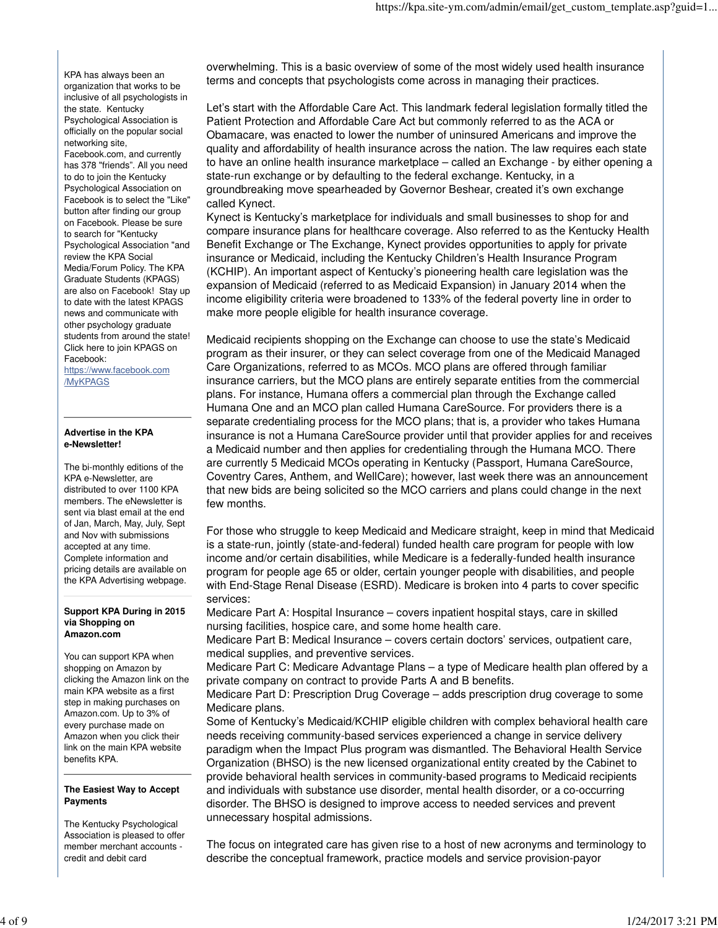KPA has always been an organization that works to be inclusive of all psychologists in the state. Kentucky Psychological Association is officially on the popular social networking site, Facebook.com, and currently has 378 "friends". All you need to do to join the Kentucky Psychological Association on Facebook is to select the "Like" button after finding our group on Facebook. Please be sure to search for "Kentucky Psychological Association "and review the KPA Social Media/Forum Policy. The KPA Graduate Students (KPAGS) are also on Facebook! Stay up

to date with the latest KPAGS news and communicate with other psychology graduate students from around the state! Click here to join KPAGS on Facebook:

https://www.facebook.com /MyKPAGS

### **Advertise in the KPA e-Newsletter!**

The bi-monthly editions of the KPA e-Newsletter, are distributed to over 1100 KPA members. The eNewsletter is sent via blast email at the end of Jan, March, May, July, Sept and Nov with submissions accepted at any time. Complete information and pricing details are available on the KPA Advertising webpage.

#### **Support KPA During in 2015 via Shopping on Amazon.com**

You can support KPA when shopping on Amazon by clicking the Amazon link on the main KPA website as a first step in making purchases on Amazon.com. Up to 3% of every purchase made on Amazon when you click their link on the main KPA website benefits KPA.

### **The Easiest Way to Accept Payments**

The Kentucky Psychological Association is pleased to offer member merchant accounts credit and debit card

overwhelming. This is a basic overview of some of the most widely used health insurance terms and concepts that psychologists come across in managing their practices.

Let's start with the Affordable Care Act. This landmark federal legislation formally titled the Patient Protection and Affordable Care Act but commonly referred to as the ACA or Obamacare, was enacted to lower the number of uninsured Americans and improve the quality and affordability of health insurance across the nation. The law requires each state to have an online health insurance marketplace – called an Exchange - by either opening a state-run exchange or by defaulting to the federal exchange. Kentucky, in a groundbreaking move spearheaded by Governor Beshear, created it's own exchange called Kynect.

Kynect is Kentucky's marketplace for individuals and small businesses to shop for and compare insurance plans for healthcare coverage. Also referred to as the Kentucky Health Benefit Exchange or The Exchange, Kynect provides opportunities to apply for private insurance or Medicaid, including the Kentucky Children's Health Insurance Program (KCHIP). An important aspect of Kentucky's pioneering health care legislation was the expansion of Medicaid (referred to as Medicaid Expansion) in January 2014 when the income eligibility criteria were broadened to 133% of the federal poverty line in order to make more people eligible for health insurance coverage.

Medicaid recipients shopping on the Exchange can choose to use the state's Medicaid program as their insurer, or they can select coverage from one of the Medicaid Managed Care Organizations, referred to as MCOs. MCO plans are offered through familiar insurance carriers, but the MCO plans are entirely separate entities from the commercial plans. For instance, Humana offers a commercial plan through the Exchange called Humana One and an MCO plan called Humana CareSource. For providers there is a separate credentialing process for the MCO plans; that is, a provider who takes Humana insurance is not a Humana CareSource provider until that provider applies for and receives a Medicaid number and then applies for credentialing through the Humana MCO. There are currently 5 Medicaid MCOs operating in Kentucky (Passport, Humana CareSource, Coventry Cares, Anthem, and WellCare); however, last week there was an announcement that new bids are being solicited so the MCO carriers and plans could change in the next few months.

For those who struggle to keep Medicaid and Medicare straight, keep in mind that Medicaid is a state-run, jointly (state-and-federal) funded health care program for people with low income and/or certain disabilities, while Medicare is a federally-funded health insurance program for people age 65 or older, certain younger people with disabilities, and people with End-Stage Renal Disease (ESRD). Medicare is broken into 4 parts to cover specific services:

Medicare Part A: Hospital Insurance – covers inpatient hospital stays, care in skilled nursing facilities, hospice care, and some home health care.

Medicare Part B: Medical Insurance – covers certain doctors' services, outpatient care, medical supplies, and preventive services.

Medicare Part C: Medicare Advantage Plans – a type of Medicare health plan offered by a private company on contract to provide Parts A and B benefits.

Medicare Part D: Prescription Drug Coverage – adds prescription drug coverage to some Medicare plans.

Some of Kentucky's Medicaid/KCHIP eligible children with complex behavioral health care needs receiving community-based services experienced a change in service delivery paradigm when the Impact Plus program was dismantled. The Behavioral Health Service Organization (BHSO) is the new licensed organizational entity created by the Cabinet to provide behavioral health services in community-based programs to Medicaid recipients and individuals with substance use disorder, mental health disorder, or a co-occurring disorder. The BHSO is designed to improve access to needed services and prevent unnecessary hospital admissions.

The focus on integrated care has given rise to a host of new acronyms and terminology to describe the conceptual framework, practice models and service provision-payor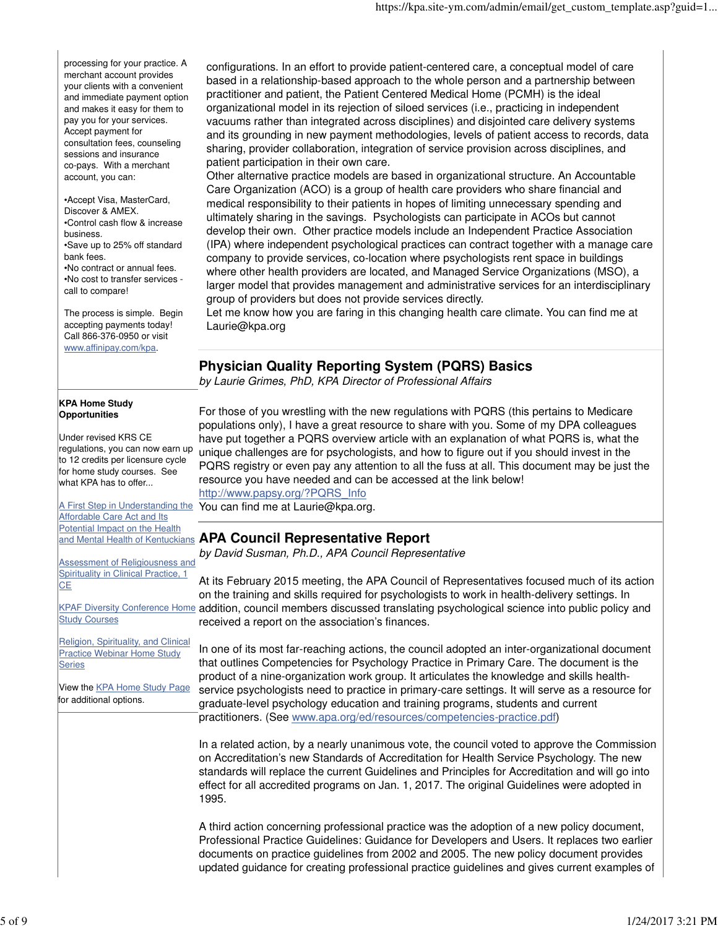processing for your practice. A merchant account provides your clients with a convenient and immediate payment option and makes it easy for them to pay you for your services. Accept payment for consultation fees, counseling sessions and insurance co-pays. With a merchant account, you can:

•Accept Visa, MasterCard, Discover & AMEX. •Control cash flow & increase business. •Save up to 25% off standard bank fees. •No contract or annual fees. •No cost to transfer services call to compare!

The process is simple. Begin accepting payments today! Call 866-376-0950 or visit www.affinipay.com/kpa.

### **KPA Home Study Opportunities**

Under revised KRS CE regulations, you can now earn up to 12 credits per licensure cycle for home study courses. See what KPA has to offer...

A First Step in Understanding the **Affordable Care Act and Its Potential Impact on the Health** 

Assessment of Religiousness and Spirituality in Clinical Practice, 1 **CE** 

Study Courses

Religion, Spirituality, and Clinical **Practice Webinar Home Study Series** 

View the **KPA Home Study Page** for additional options.

configurations. In an effort to provide patient-centered care, a conceptual model of care based in a relationship-based approach to the whole person and a partnership between practitioner and patient, the Patient Centered Medical Home (PCMH) is the ideal organizational model in its rejection of siloed services (i.e., practicing in independent vacuums rather than integrated across disciplines) and disjointed care delivery systems and its grounding in new payment methodologies, levels of patient access to records, data sharing, provider collaboration, integration of service provision across disciplines, and patient participation in their own care.

Other alternative practice models are based in organizational structure. An Accountable Care Organization (ACO) is a group of health care providers who share financial and medical responsibility to their patients in hopes of limiting unnecessary spending and ultimately sharing in the savings. Psychologists can participate in ACOs but cannot develop their own. Other practice models include an Independent Practice Association (IPA) where independent psychological practices can contract together with a manage care company to provide services, co-location where psychologists rent space in buildings where other health providers are located, and Managed Service Organizations (MSO), a larger model that provides management and administrative services for an interdisciplinary group of providers but does not provide services directly.

Let me know how you are faring in this changing health care climate. You can find me at Laurie@kpa.org

# **Physician Quality Reporting System (PQRS) Basics**

by Laurie Grimes, PhD, KPA Director of Professional Affairs

For those of you wrestling with the new regulations with PQRS (this pertains to Medicare populations only), I have a great resource to share with you. Some of my DPA colleagues have put together a PQRS overview article with an explanation of what PQRS is, what the unique challenges are for psychologists, and how to figure out if you should invest in the PQRS registry or even pay any attention to all the fuss at all. This document may be just the resource you have needed and can be accessed at the link below! http://www.papsy.org/?PQRS\_Info

You can find me at Laurie@kpa.org.

# and Mental Health of Kentuckians **APA Council Representative Report**

by David Susman, Ph.D., APA Council Representative

KPAF Diversity Conference Home addition, council members discussed translating psychological science into public policy and At its February 2015 meeting, the APA Council of Representatives focused much of its action on the training and skills required for psychologists to work in health-delivery settings. In received a report on the association's finances.

> In one of its most far-reaching actions, the council adopted an inter-organizational document that outlines Competencies for Psychology Practice in Primary Care. The document is the product of a nine-organization work group. It articulates the knowledge and skills healthservice psychologists need to practice in primary-care settings. It will serve as a resource for graduate-level psychology education and training programs, students and current practitioners. (See www.apa.org/ed/resources/competencies-practice.pdf)

> In a related action, by a nearly unanimous vote, the council voted to approve the Commission on Accreditation's new Standards of Accreditation for Health Service Psychology. The new standards will replace the current Guidelines and Principles for Accreditation and will go into effect for all accredited programs on Jan. 1, 2017. The original Guidelines were adopted in 1995.

> A third action concerning professional practice was the adoption of a new policy document, Professional Practice Guidelines: Guidance for Developers and Users. It replaces two earlier documents on practice guidelines from 2002 and 2005. The new policy document provides updated guidance for creating professional practice guidelines and gives current examples of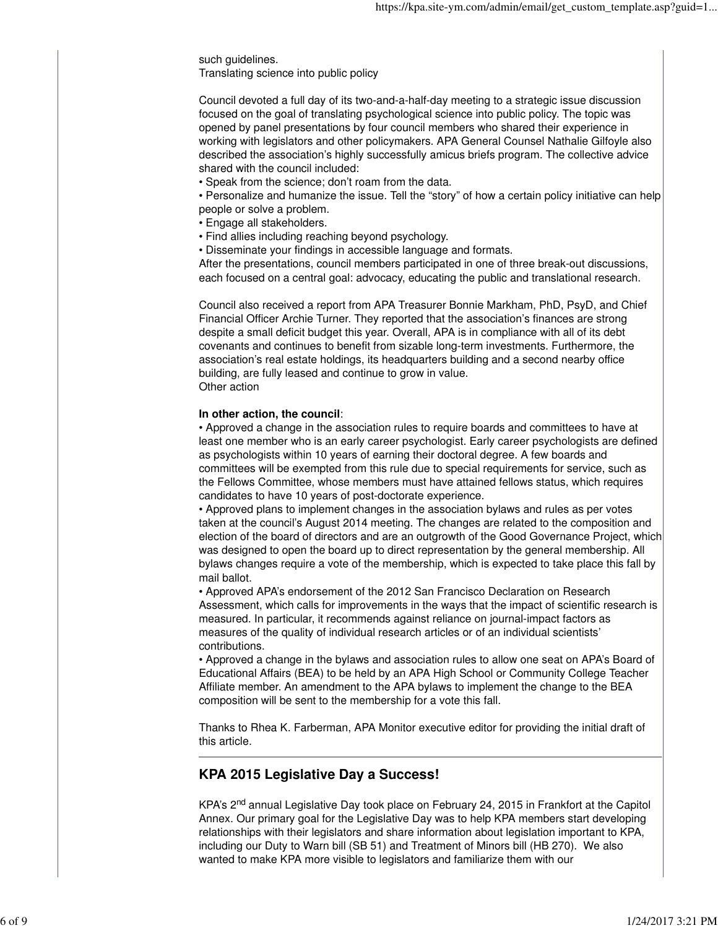such guidelines.

Translating science into public policy

Council devoted a full day of its two-and-a-half-day meeting to a strategic issue discussion focused on the goal of translating psychological science into public policy. The topic was opened by panel presentations by four council members who shared their experience in working with legislators and other policymakers. APA General Counsel Nathalie Gilfoyle also described the association's highly successfully amicus briefs program. The collective advice shared with the council included:

• Speak from the science; don't roam from the data.

• Personalize and humanize the issue. Tell the "story" of how a certain policy initiative can help people or solve a problem.

• Engage all stakeholders.

• Find allies including reaching beyond psychology.

• Disseminate your findings in accessible language and formats.

After the presentations, council members participated in one of three break-out discussions, each focused on a central goal: advocacy, educating the public and translational research.

Council also received a report from APA Treasurer Bonnie Markham, PhD, PsyD, and Chief Financial Officer Archie Turner. They reported that the association's finances are strong despite a small deficit budget this year. Overall, APA is in compliance with all of its debt covenants and continues to benefit from sizable long-term investments. Furthermore, the association's real estate holdings, its headquarters building and a second nearby office building, are fully leased and continue to grow in value. Other action

### **In other action, the council**:

• Approved a change in the association rules to require boards and committees to have at least one member who is an early career psychologist. Early career psychologists are defined as psychologists within 10 years of earning their doctoral degree. A few boards and committees will be exempted from this rule due to special requirements for service, such as the Fellows Committee, whose members must have attained fellows status, which requires candidates to have 10 years of post-doctorate experience.

• Approved plans to implement changes in the association bylaws and rules as per votes taken at the council's August 2014 meeting. The changes are related to the composition and election of the board of directors and are an outgrowth of the Good Governance Project, which was designed to open the board up to direct representation by the general membership. All bylaws changes require a vote of the membership, which is expected to take place this fall by mail ballot.

• Approved APA's endorsement of the 2012 San Francisco Declaration on Research Assessment, which calls for improvements in the ways that the impact of scientific research is measured. In particular, it recommends against reliance on journal-impact factors as measures of the quality of individual research articles or of an individual scientists' contributions.

• Approved a change in the bylaws and association rules to allow one seat on APA's Board of Educational Affairs (BEA) to be held by an APA High School or Community College Teacher Affiliate member. An amendment to the APA bylaws to implement the change to the BEA composition will be sent to the membership for a vote this fall.

Thanks to Rhea K. Farberman, APA Monitor executive editor for providing the initial draft of this article.

## **KPA 2015 Legislative Day a Success!**

KPA's 2<sup>nd</sup> annual Legislative Day took place on February 24, 2015 in Frankfort at the Capitol Annex. Our primary goal for the Legislative Day was to help KPA members start developing relationships with their legislators and share information about legislation important to KPA, including our Duty to Warn bill (SB 51) and Treatment of Minors bill (HB 270). We also wanted to make KPA more visible to legislators and familiarize them with our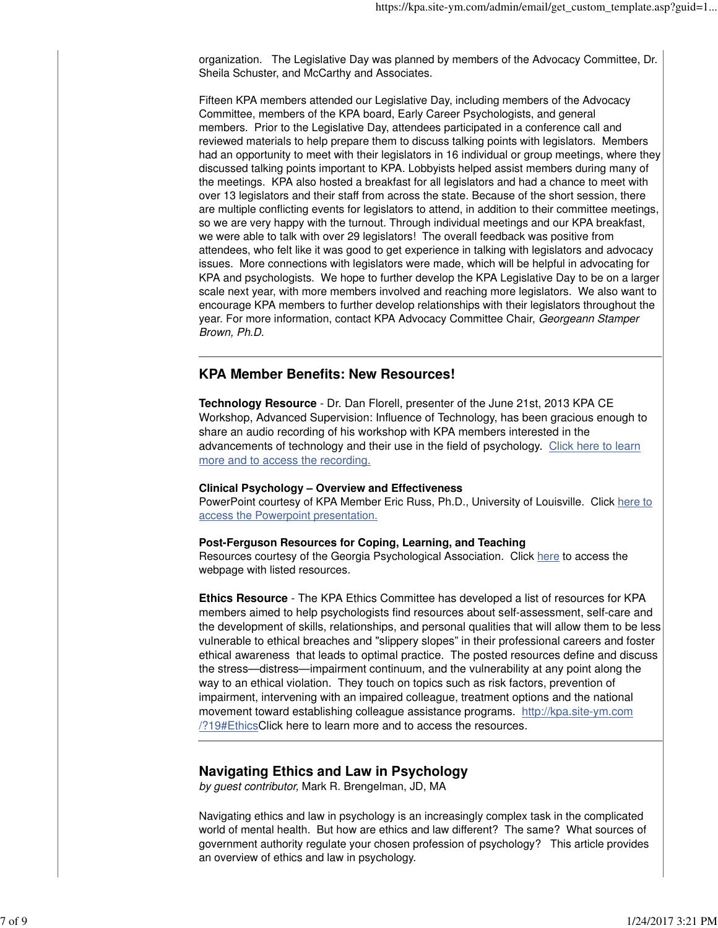organization. The Legislative Day was planned by members of the Advocacy Committee, Dr. Sheila Schuster, and McCarthy and Associates.

Fifteen KPA members attended our Legislative Day, including members of the Advocacy Committee, members of the KPA board, Early Career Psychologists, and general members. Prior to the Legislative Day, attendees participated in a conference call and reviewed materials to help prepare them to discuss talking points with legislators. Members had an opportunity to meet with their legislators in 16 individual or group meetings, where they discussed talking points important to KPA. Lobbyists helped assist members during many of the meetings. KPA also hosted a breakfast for all legislators and had a chance to meet with over 13 legislators and their staff from across the state. Because of the short session, there are multiple conflicting events for legislators to attend, in addition to their committee meetings, so we are very happy with the turnout. Through individual meetings and our KPA breakfast, we were able to talk with over 29 legislators! The overall feedback was positive from attendees, who felt like it was good to get experience in talking with legislators and advocacy issues. More connections with legislators were made, which will be helpful in advocating for KPA and psychologists. We hope to further develop the KPA Legislative Day to be on a larger scale next year, with more members involved and reaching more legislators. We also want to encourage KPA members to further develop relationships with their legislators throughout the year. For more information, contact KPA Advocacy Committee Chair, Georgeann Stamper Brown, Ph.D.

### **KPA Member Benefits: New Resources!**

**Technology Resource** - Dr. Dan Florell, presenter of the June 21st, 2013 KPA CE Workshop, Advanced Supervision: Influence of Technology, has been gracious enough to share an audio recording of his workshop with KPA members interested in the advancements of technology and their use in the field of psychology. Click here to learn more and to access the recording.

### **Clinical Psychology – Overview and Effectiveness**

PowerPoint courtesy of KPA Member Eric Russ, Ph.D., University of Louisville. Click here to access the Powerpoint presentation.

### **Post-Ferguson Resources for Coping, Learning, and Teaching**

Resources courtesy of the Georgia Psychological Association. Click here to access the webpage with listed resources.

**Ethics Resource** - The KPA Ethics Committee has developed a list of resources for KPA members aimed to help psychologists find resources about self-assessment, self-care and the development of skills, relationships, and personal qualities that will allow them to be less vulnerable to ethical breaches and "slippery slopes" in their professional careers and foster ethical awareness that leads to optimal practice. The posted resources define and discuss the stress—distress—impairment continuum, and the vulnerability at any point along the way to an ethical violation. They touch on topics such as risk factors, prevention of impairment, intervening with an impaired colleague, treatment options and the national movement toward establishing colleague assistance programs. http://kpa.site-ym.com /?19#EthicsClick here to learn more and to access the resources.

### **Navigating Ethics and Law in Psychology**

by guest contributor, Mark R. Brengelman, JD, MA

Navigating ethics and law in psychology is an increasingly complex task in the complicated world of mental health. But how are ethics and law different? The same? What sources of government authority regulate your chosen profession of psychology? This article provides an overview of ethics and law in psychology.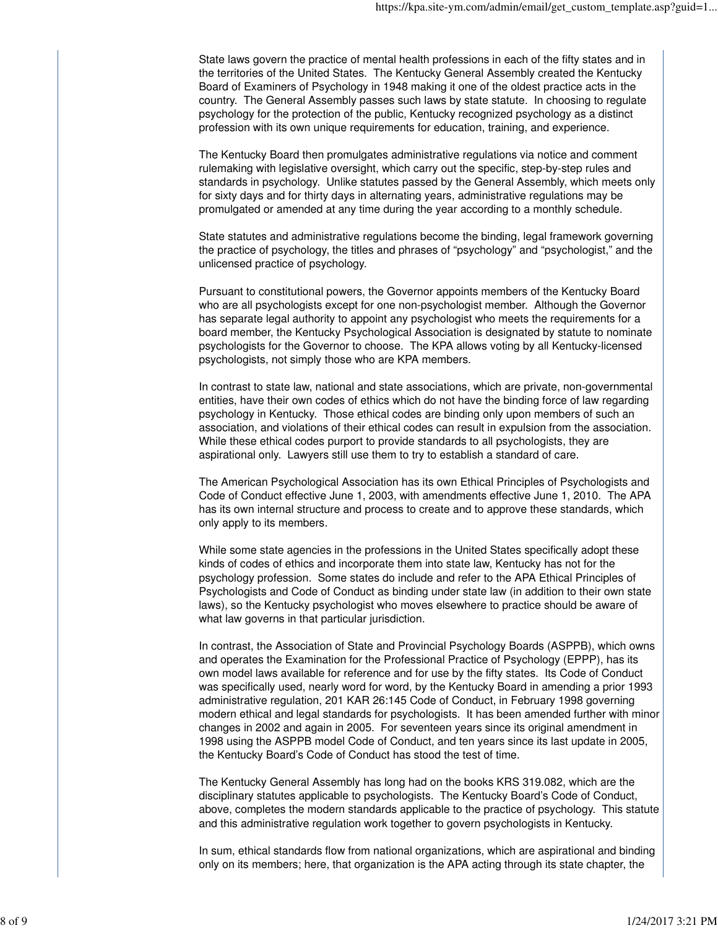State laws govern the practice of mental health professions in each of the fifty states and in the territories of the United States. The Kentucky General Assembly created the Kentucky Board of Examiners of Psychology in 1948 making it one of the oldest practice acts in the country. The General Assembly passes such laws by state statute. In choosing to regulate psychology for the protection of the public, Kentucky recognized psychology as a distinct profession with its own unique requirements for education, training, and experience.

The Kentucky Board then promulgates administrative regulations via notice and comment rulemaking with legislative oversight, which carry out the specific, step-by-step rules and standards in psychology. Unlike statutes passed by the General Assembly, which meets only for sixty days and for thirty days in alternating years, administrative regulations may be promulgated or amended at any time during the year according to a monthly schedule.

State statutes and administrative regulations become the binding, legal framework governing the practice of psychology, the titles and phrases of "psychology" and "psychologist," and the unlicensed practice of psychology.

Pursuant to constitutional powers, the Governor appoints members of the Kentucky Board who are all psychologists except for one non-psychologist member. Although the Governor has separate legal authority to appoint any psychologist who meets the requirements for a board member, the Kentucky Psychological Association is designated by statute to nominate psychologists for the Governor to choose. The KPA allows voting by all Kentucky-licensed psychologists, not simply those who are KPA members.

In contrast to state law, national and state associations, which are private, non-governmental entities, have their own codes of ethics which do not have the binding force of law regarding psychology in Kentucky. Those ethical codes are binding only upon members of such an association, and violations of their ethical codes can result in expulsion from the association. While these ethical codes purport to provide standards to all psychologists, they are aspirational only. Lawyers still use them to try to establish a standard of care.

The American Psychological Association has its own Ethical Principles of Psychologists and Code of Conduct effective June 1, 2003, with amendments effective June 1, 2010. The APA has its own internal structure and process to create and to approve these standards, which only apply to its members.

While some state agencies in the professions in the United States specifically adopt these kinds of codes of ethics and incorporate them into state law, Kentucky has not for the psychology profession. Some states do include and refer to the APA Ethical Principles of Psychologists and Code of Conduct as binding under state law (in addition to their own state laws), so the Kentucky psychologist who moves elsewhere to practice should be aware of what law governs in that particular jurisdiction.

In contrast, the Association of State and Provincial Psychology Boards (ASPPB), which owns and operates the Examination for the Professional Practice of Psychology (EPPP), has its own model laws available for reference and for use by the fifty states. Its Code of Conduct was specifically used, nearly word for word, by the Kentucky Board in amending a prior 1993 administrative regulation, 201 KAR 26:145 Code of Conduct, in February 1998 governing modern ethical and legal standards for psychologists. It has been amended further with minor changes in 2002 and again in 2005. For seventeen years since its original amendment in 1998 using the ASPPB model Code of Conduct, and ten years since its last update in 2005, the Kentucky Board's Code of Conduct has stood the test of time.

The Kentucky General Assembly has long had on the books KRS 319.082, which are the disciplinary statutes applicable to psychologists. The Kentucky Board's Code of Conduct, above, completes the modern standards applicable to the practice of psychology. This statute and this administrative regulation work together to govern psychologists in Kentucky.

In sum, ethical standards flow from national organizations, which are aspirational and binding only on its members; here, that organization is the APA acting through its state chapter, the